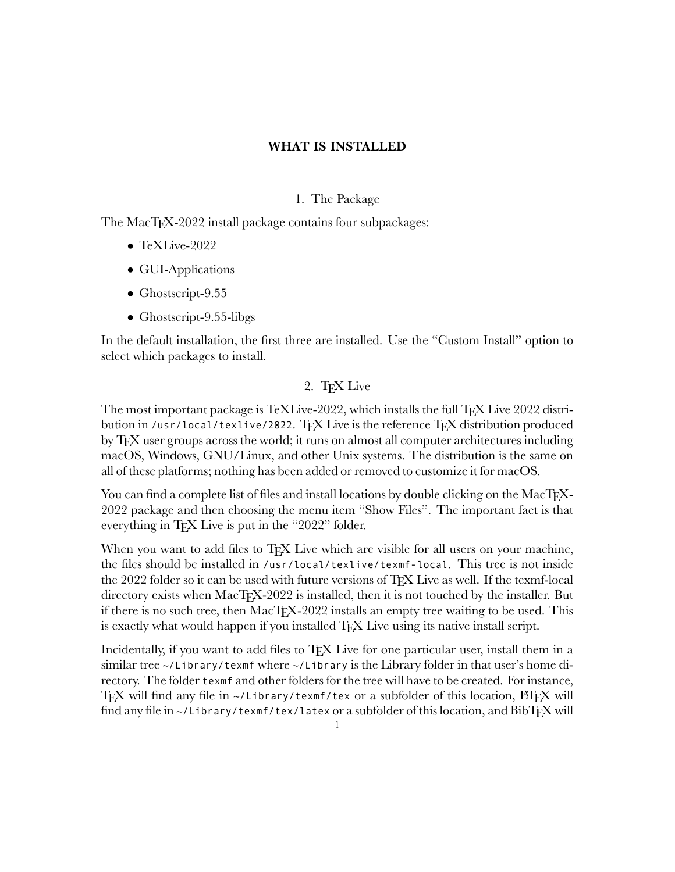### 1. The Package

The MacT<sub>F</sub>X-2022 install package contains four subpackages:

- *•* TeXLive-2022
- *•* GUI-Applications
- *•* Ghostscript-9.55
- Ghostscript-9.55-libgs

In the default installation, the first three are installed. Use the "Custom Install" option to select which packages to install.

# 2. TEX Live

The most important package is TeXLive-2022, which installs the full T<sub>EX</sub> Live 2022 distribution in /usr/local/texlive/2022. TFX Live is the reference TFX distribution produced by TFX user groups across the world; it runs on almost all computer architectures including macOS, Windows, GNU/Linux, and other Unix systems. The distribution is the same on all of these platforms; nothing has been added or removed to customize it for macOS.

You can find a complete list of files and install locations by double clicking on the MacTFX-2022 package and then choosing the menu item "Show Files". The important fact is that everything in T<sub>F</sub>X Live is put in the "2022" folder.

When you want to add files to T<sub>EX</sub> Live which are visible for all users on your machine, the files should be installed in /usr/local/texlive/texmf-local. This tree is not inside the 2022 folder so it can be used with future versions of TEX Live as well. If the texmf-local directory exists when MacTEX-2022 is installed, then it is not touched by the installer. But if there is no such tree, then MacTEX-2022 installs an empty tree waiting to be used. This is exactly what would happen if you installed T<sub>F</sub>X Live using its native install script.

Incidentally, if you want to add files to T<sub>EX</sub> Live for one particular user, install them in a similar tree ~/Library/texmf where ~/Library is the Library folder in that user's home directory. The folder texmf and other folders for the tree will have to be created. For instance, TEX will find any file in  $\sim$ /Library/texmf/tex or a subfolder of this location, ETEX will find any file in  $\sim$ /Library/texmf/tex/latex or a subfolder of this location, and BibTFX will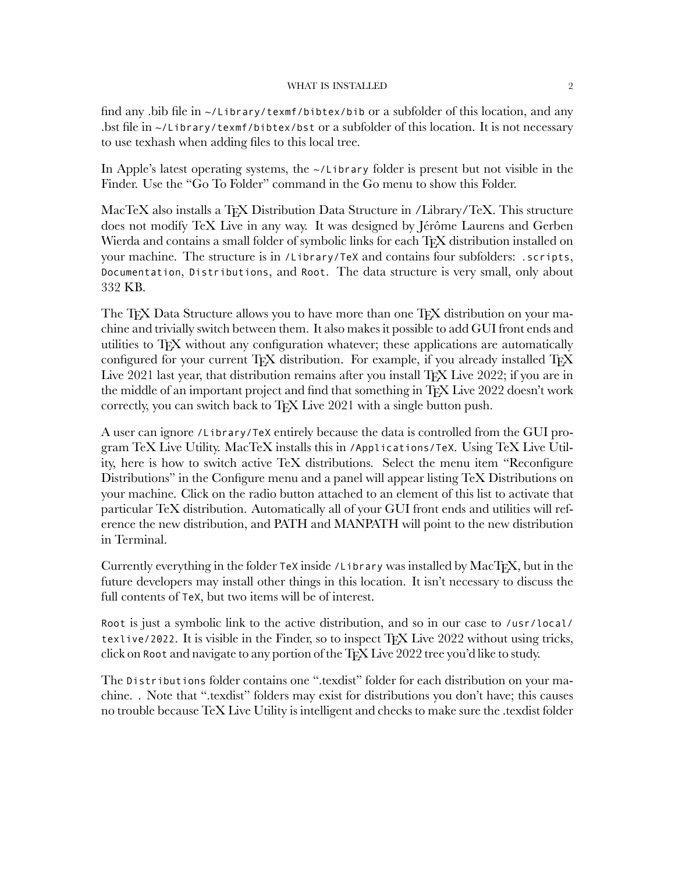find any .bib file in  $\sim$ /Library/texmf/bibtex/bib or a subfolder of this location, and any .bst file in ~/Library/texmf/bibtex/bst or a subfolder of this location. It is not necessary to use texhash when adding files to this local tree.

In Apple's latest operating systems, the ~/Library folder is present but not visible in the Finder. Use the "Go To Folder" command in the Go menu to show this Folder.

MacTeX also installs a T<sub>F</sub>X Distribution Data Structure in /Library/TeX. This structure does not modify TeX Live in any way. It was designed by Jérôme Laurens and Gerben Wierda and contains a small folder of symbolic links for each TEX distribution installed on your machine. The structure is in /Library/TeX and contains four subfolders: .scripts, Documentation, Distributions, and Root. The data structure is very small, only about 332 KB.

The T<sub>EX</sub> Data Structure allows you to have more than one T<sub>EX</sub> distribution on your machine and trivially switch between them. It also makes it possible to add GUI front ends and utilities to TEX without any configuration whatever; these applications are automatically configured for your current TFX distribution. For example, if you already installed TFX Live 2021 last year, that distribution remains after you install TFX Live 2022; if you are in the middle of an important project and find that something in TFX Live 2022 doesn't work correctly, you can switch back to TFX Live 2021 with a single button push.

A user can ignore /Library/TeX entirely because the data is controlled from the GUI program TeX Live Utility. MacTeX installs this in /Applications/TeX. Using TeX Live Utility, here is how to switch active TeX distributions. Select the menu item "Reconfigure Distributions" in the Configure menu and a panel will appear listing TeX Distributions on your machine. Click on the radio button attached to an element of this list to activate that particular TeX distribution. Automatically all of your GUI front ends and utilities will reference the new distribution, and PATH and MANPATH will point to the new distribution in Terminal.

Currently everything in the folder TeX inside /Library was installed by MacTEX, but in the future developers may install other things in this location. It isn't necessary to discuss the full contents of TeX, but two items will be of interest.

Root is just a symbolic link to the active distribution, and so in our case to /usr/local/ texlive/2022. It is visible in the Finder, so to inspect TFX Live 2022 without using tricks, click on Root and navigate to any portion of the TEX Live 2022 tree you'd like to study.

The Distributions folder contains one ".texdist" folder for each distribution on your machine. . Note that ".texdist" folders may exist for distributions you don't have; this causes no trouble because TeX Live Utility is intelligent and checks to make sure the .texdist folder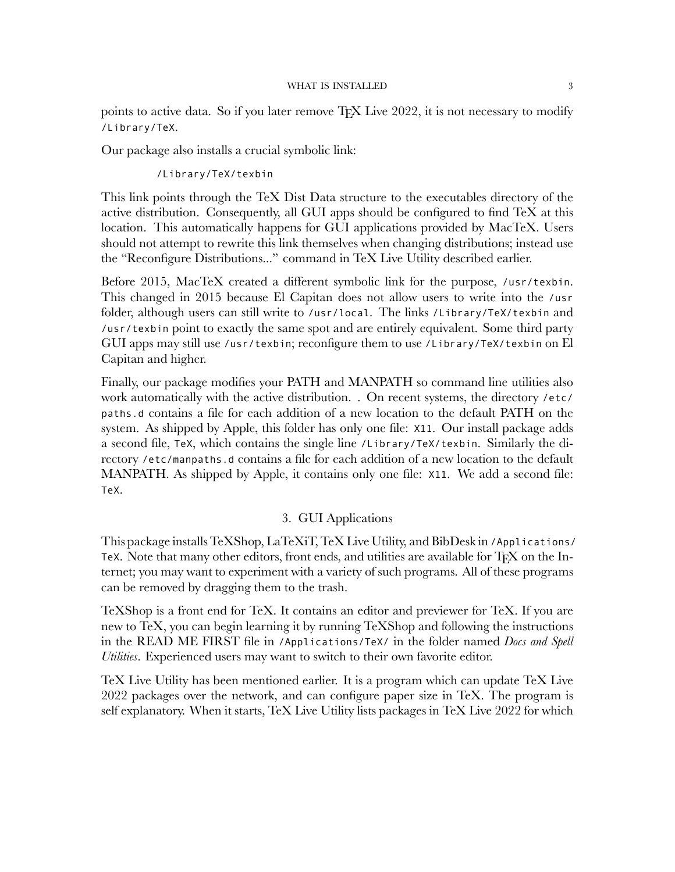points to active data. So if you later remove TFX Live 2022, it is not necessary to modify /Library/TeX.

Our package also installs a crucial symbolic link:

/Library/TeX/texbin

This link points through the TeX Dist Data structure to the executables directory of the active distribution. Consequently, all GUI apps should be configured to find TeX at this location. This automatically happens for GUI applications provided by MacTeX. Users should not attempt to rewrite this link themselves when changing distributions; instead use the "Reconfigure Distributions..." command in TeX Live Utility described earlier.

Before 2015, MacTeX created a different symbolic link for the purpose, /usr/texbin. This changed in 2015 because El Capitan does not allow users to write into the /usr folder, although users can still write to /usr/local. The links /Library/TeX/texbin and /usr/texbin point to exactly the same spot and are entirely equivalent. Some third party GUI apps may still use /usr/texbin; reconfigure them to use /Library/TeX/texbin on El Capitan and higher.

Finally, our package modifies your PATH and MANPATH so command line utilities also work automatically with the active distribution. . On recent systems, the directory /etc/ paths.d contains a file for each addition of a new location to the default PATH on the system. As shipped by Apple, this folder has only one file: X11. Our install package adds a second file, TeX, which contains the single line /Library/TeX/texbin. Similarly the directory /etc/manpaths.d contains a file for each addition of a new location to the default MANPATH. As shipped by Apple, it contains only one file: X11. We add a second file: TeX.

### 3. GUI Applications

This package installs TeXShop, LaTeXiT, TeX Live Utility, and BibDesk in /Applications/ TeX. Note that many other editors, front ends, and utilities are available for TFX on the Internet; you may want to experiment with a variety of such programs. All of these programs can be removed by dragging them to the trash.

TeXShop is a front end for TeX. It contains an editor and previewer for TeX. If you are new to TeX, you can begin learning it by running TeXShop and following the instructions in the READ ME FIRST file in /Applications/TeX/ in the folder named *Docs and Spell Utilities*. Experienced users may want to switch to their own favorite editor.

TeX Live Utility has been mentioned earlier. It is a program which can update TeX Live 2022 packages over the network, and can configure paper size in TeX. The program is self explanatory. When it starts, TeX Live Utility lists packages in TeX Live 2022 for which